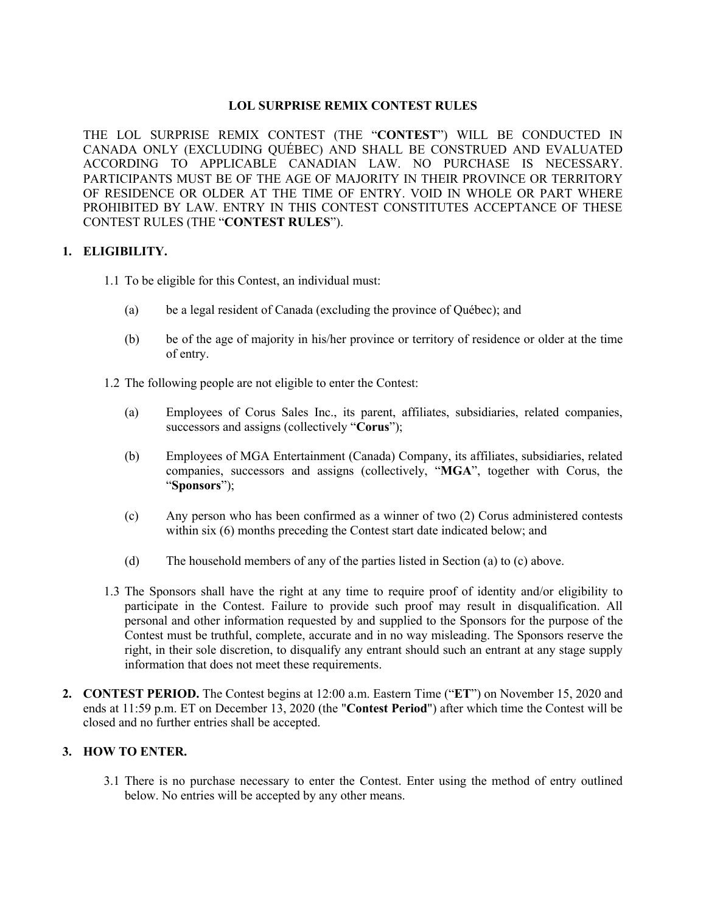# **LOL SURPRISE REMIX CONTEST RULES**

THE LOL SURPRISE REMIX CONTEST (THE "**CONTEST**") WILL BE CONDUCTED IN CANADA ONLY (EXCLUDING QUÉBEC) AND SHALL BE CONSTRUED AND EVALUATED ACCORDING TO APPLICABLE CANADIAN LAW. NO PURCHASE IS NECESSARY. PARTICIPANTS MUST BE OF THE AGE OF MAJORITY IN THEIR PROVINCE OR TERRITORY OF RESIDENCE OR OLDER AT THE TIME OF ENTRY. VOID IN WHOLE OR PART WHERE PROHIBITED BY LAW. ENTRY IN THIS CONTEST CONSTITUTES ACCEPTANCE OF THESE CONTEST RULES (THE "**CONTEST RULES**").

## **1. ELIGIBILITY.**

- 1.1 To be eligible for this Contest, an individual must:
	- (a) be a legal resident of Canada (excluding the province of Québec); and
	- (b) be of the age of majority in his/her province or territory of residence or older at the time of entry.

1.2 The following people are not eligible to enter the Contest:

- (a) Employees of Corus Sales Inc., its parent, affiliates, subsidiaries, related companies, successors and assigns (collectively "**Corus**");
- (b) Employees of MGA Entertainment (Canada) Company, its affiliates, subsidiaries, related companies, successors and assigns (collectively, "**MGA**", together with Corus, the "**Sponsors**");
- (c) Any person who has been confirmed as a winner of two (2) Corus administered contests within six (6) months preceding the Contest start date indicated below; and
- (d) The household members of any of the parties listed in Section (a) to (c) above.
- 1.3 The Sponsors shall have the right at any time to require proof of identity and/or eligibility to participate in the Contest. Failure to provide such proof may result in disqualification. All personal and other information requested by and supplied to the Sponsors for the purpose of the Contest must be truthful, complete, accurate and in no way misleading. The Sponsors reserve the right, in their sole discretion, to disqualify any entrant should such an entrant at any stage supply information that does not meet these requirements.
- **2. CONTEST PERIOD.** The Contest begins at 12:00 a.m. Eastern Time ("**ET**") on November 15, 2020 and ends at 11:59 p.m. ET on December 13, 2020 (the "**Contest Period**") after which time the Contest will be closed and no further entries shall be accepted.

# **3. HOW TO ENTER.**

3.1 There is no purchase necessary to enter the Contest. Enter using the method of entry outlined below. No entries will be accepted by any other means.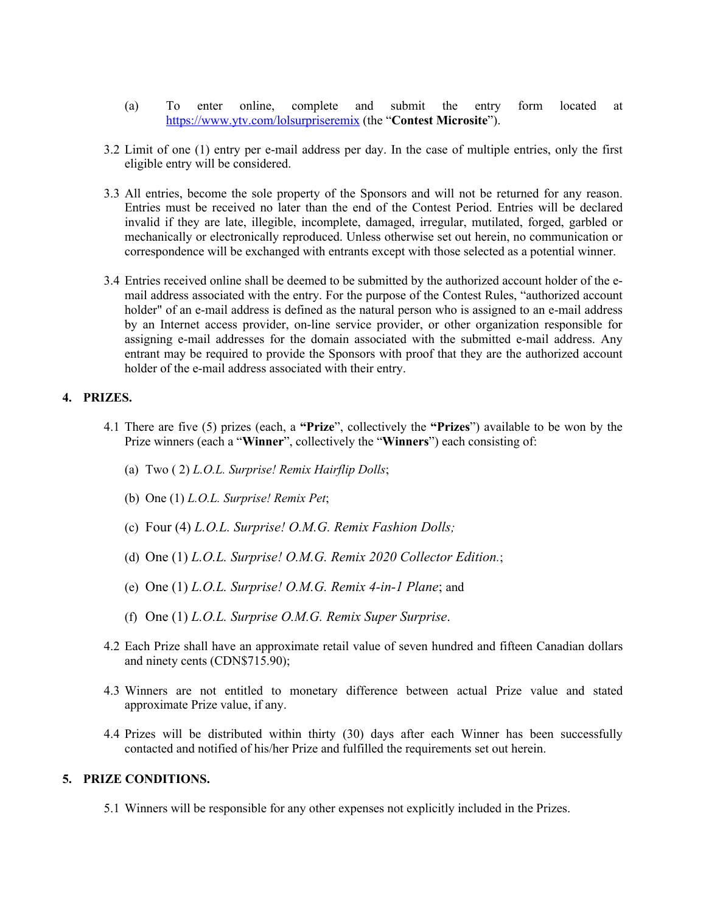- (a) To enter online, complete and submit the entry form located at https://www.ytv.com/lolsurpriseremix (the "**Contest Microsite**").
- 3.2 Limit of one (1) entry per e-mail address per day. In the case of multiple entries, only the first eligible entry will be considered.
- 3.3 All entries, become the sole property of the Sponsors and will not be returned for any reason. Entries must be received no later than the end of the Contest Period. Entries will be declared invalid if they are late, illegible, incomplete, damaged, irregular, mutilated, forged, garbled or mechanically or electronically reproduced. Unless otherwise set out herein, no communication or correspondence will be exchanged with entrants except with those selected as a potential winner.
- 3.4 Entries received online shall be deemed to be submitted by the authorized account holder of the email address associated with the entry. For the purpose of the Contest Rules, "authorized account holder" of an e-mail address is defined as the natural person who is assigned to an e-mail address by an Internet access provider, on-line service provider, or other organization responsible for assigning e-mail addresses for the domain associated with the submitted e-mail address. Any entrant may be required to provide the Sponsors with proof that they are the authorized account holder of the e-mail address associated with their entry.

### **4. PRIZES.**

- 4.1 There are five (5) prizes (each, a **"Prize**", collectively the **"Prizes**") available to be won by the Prize winners (each a "**Winner**", collectively the "**Winners**") each consisting of:
	- (a) Two ( 2) *L.O.L. Surprise! Remix Hairflip Dolls*;
	- (b) One (1) *L.O.L. Surprise! Remix Pet*;
	- (c) Four (4) *L.O.L. Surprise! O.M.G. Remix Fashion Dolls;*
	- (d) One (1) *L.O.L. Surprise! O.M.G. Remix 2020 Collector Edition.*;
	- (e) One (1) *L.O.L. Surprise! O.M.G. Remix 4-in-1 Plane*; and
	- (f) One (1) *L.O.L. Surprise O.M.G. Remix Super Surprise*.
- 4.2 Each Prize shall have an approximate retail value of seven hundred and fifteen Canadian dollars and ninety cents (CDN\$715.90);
- 4.3 Winners are not entitled to monetary difference between actual Prize value and stated approximate Prize value, if any.
- 4.4 Prizes will be distributed within thirty (30) days after each Winner has been successfully contacted and notified of his/her Prize and fulfilled the requirements set out herein.

#### **5. PRIZE CONDITIONS.**

5.1 Winners will be responsible for any other expenses not explicitly included in the Prizes.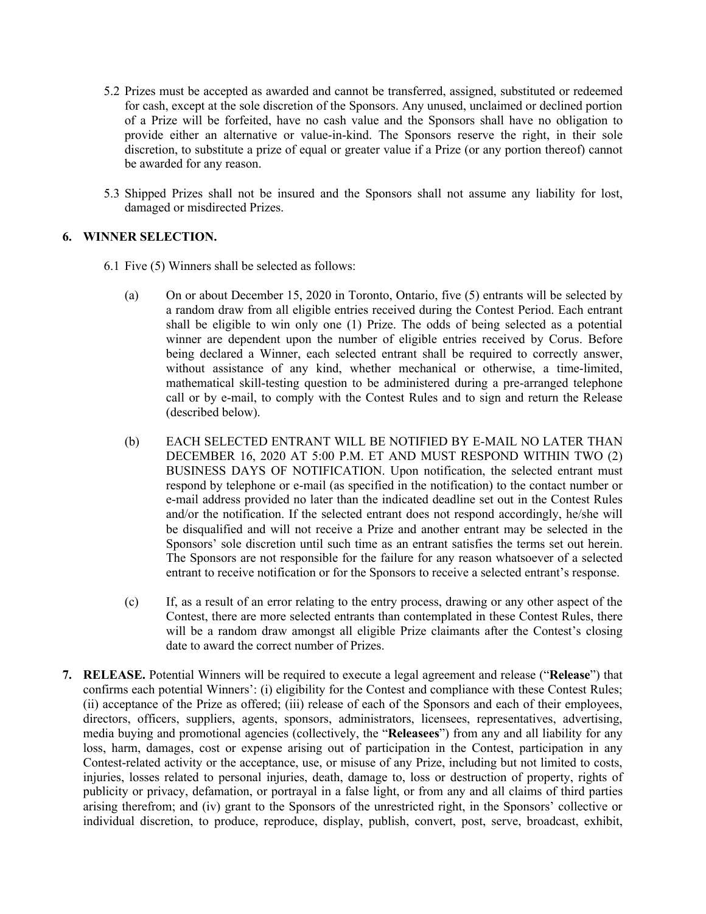- 5.2 Prizes must be accepted as awarded and cannot be transferred, assigned, substituted or redeemed for cash, except at the sole discretion of the Sponsors. Any unused, unclaimed or declined portion of a Prize will be forfeited, have no cash value and the Sponsors shall have no obligation to provide either an alternative or value-in-kind. The Sponsors reserve the right, in their sole discretion, to substitute a prize of equal or greater value if a Prize (or any portion thereof) cannot be awarded for any reason.
- 5.3 Shipped Prizes shall not be insured and the Sponsors shall not assume any liability for lost, damaged or misdirected Prizes.

# **6. WINNER SELECTION.**

- 6.1 Five (5) Winners shall be selected as follows:
	- (a) On or about December 15, 2020 in Toronto, Ontario, five (5) entrants will be selected by a random draw from all eligible entries received during the Contest Period. Each entrant shall be eligible to win only one (1) Prize. The odds of being selected as a potential winner are dependent upon the number of eligible entries received by Corus. Before being declared a Winner, each selected entrant shall be required to correctly answer, without assistance of any kind, whether mechanical or otherwise, a time-limited, mathematical skill-testing question to be administered during a pre-arranged telephone call or by e-mail, to comply with the Contest Rules and to sign and return the Release (described below).
	- (b) EACH SELECTED ENTRANT WILL BE NOTIFIED BY E-MAIL NO LATER THAN DECEMBER 16, 2020 AT 5:00 P.M. ET AND MUST RESPOND WITHIN TWO (2) BUSINESS DAYS OF NOTIFICATION. Upon notification, the selected entrant must respond by telephone or e-mail (as specified in the notification) to the contact number or e-mail address provided no later than the indicated deadline set out in the Contest Rules and/or the notification. If the selected entrant does not respond accordingly, he/she will be disqualified and will not receive a Prize and another entrant may be selected in the Sponsors' sole discretion until such time as an entrant satisfies the terms set out herein. The Sponsors are not responsible for the failure for any reason whatsoever of a selected entrant to receive notification or for the Sponsors to receive a selected entrant's response.
	- (c) If, as a result of an error relating to the entry process, drawing or any other aspect of the Contest, there are more selected entrants than contemplated in these Contest Rules, there will be a random draw amongst all eligible Prize claimants after the Contest's closing date to award the correct number of Prizes.
- **7. RELEASE.** Potential Winners will be required to execute a legal agreement and release ("**Release**") that confirms each potential Winners': (i) eligibility for the Contest and compliance with these Contest Rules; (ii) acceptance of the Prize as offered; (iii) release of each of the Sponsors and each of their employees, directors, officers, suppliers, agents, sponsors, administrators, licensees, representatives, advertising, media buying and promotional agencies (collectively, the "**Releasees**") from any and all liability for any loss, harm, damages, cost or expense arising out of participation in the Contest, participation in any Contest-related activity or the acceptance, use, or misuse of any Prize, including but not limited to costs, injuries, losses related to personal injuries, death, damage to, loss or destruction of property, rights of publicity or privacy, defamation, or portrayal in a false light, or from any and all claims of third parties arising therefrom; and (iv) grant to the Sponsors of the unrestricted right, in the Sponsors' collective or individual discretion, to produce, reproduce, display, publish, convert, post, serve, broadcast, exhibit,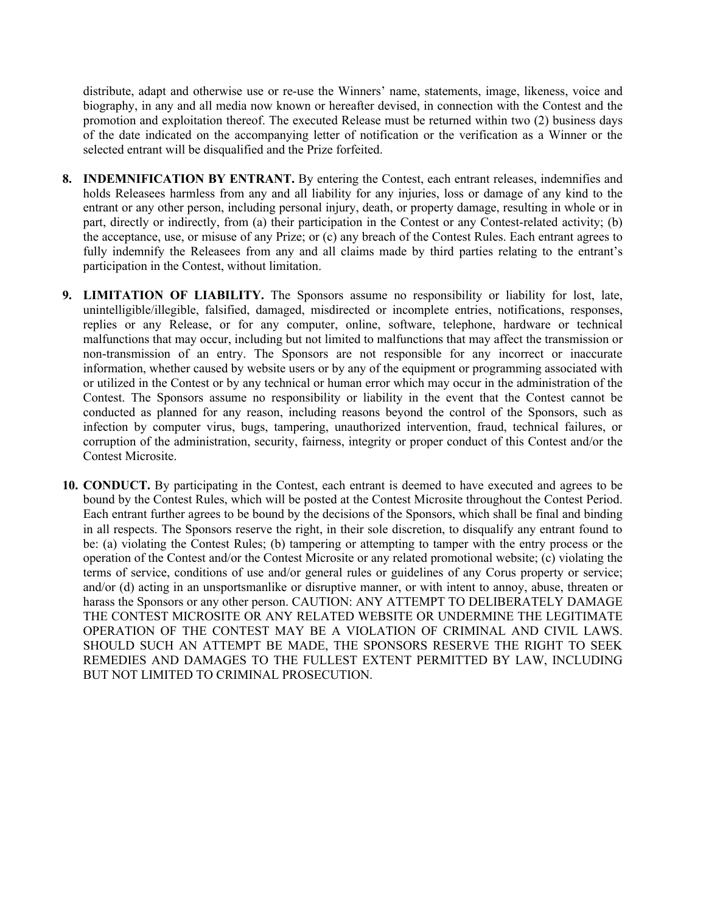distribute, adapt and otherwise use or re-use the Winners' name, statements, image, likeness, voice and biography, in any and all media now known or hereafter devised, in connection with the Contest and the promotion and exploitation thereof. The executed Release must be returned within two (2) business days of the date indicated on the accompanying letter of notification or the verification as a Winner or the selected entrant will be disqualified and the Prize forfeited.

- **8. INDEMNIFICATION BY ENTRANT.** By entering the Contest, each entrant releases, indemnifies and holds Releasees harmless from any and all liability for any injuries, loss or damage of any kind to the entrant or any other person, including personal injury, death, or property damage, resulting in whole or in part, directly or indirectly, from (a) their participation in the Contest or any Contest-related activity; (b) the acceptance, use, or misuse of any Prize; or (c) any breach of the Contest Rules. Each entrant agrees to fully indemnify the Releasees from any and all claims made by third parties relating to the entrant's participation in the Contest, without limitation.
- **9. LIMITATION OF LIABILITY.** The Sponsors assume no responsibility or liability for lost, late, unintelligible/illegible, falsified, damaged, misdirected or incomplete entries, notifications, responses, replies or any Release, or for any computer, online, software, telephone, hardware or technical malfunctions that may occur, including but not limited to malfunctions that may affect the transmission or non-transmission of an entry. The Sponsors are not responsible for any incorrect or inaccurate information, whether caused by website users or by any of the equipment or programming associated with or utilized in the Contest or by any technical or human error which may occur in the administration of the Contest. The Sponsors assume no responsibility or liability in the event that the Contest cannot be conducted as planned for any reason, including reasons beyond the control of the Sponsors, such as infection by computer virus, bugs, tampering, unauthorized intervention, fraud, technical failures, or corruption of the administration, security, fairness, integrity or proper conduct of this Contest and/or the Contest Microsite.
- **10. CONDUCT.** By participating in the Contest, each entrant is deemed to have executed and agrees to be bound by the Contest Rules, which will be posted at the Contest Microsite throughout the Contest Period. Each entrant further agrees to be bound by the decisions of the Sponsors, which shall be final and binding in all respects. The Sponsors reserve the right, in their sole discretion, to disqualify any entrant found to be: (a) violating the Contest Rules; (b) tampering or attempting to tamper with the entry process or the operation of the Contest and/or the Contest Microsite or any related promotional website; (c) violating the terms of service, conditions of use and/or general rules or guidelines of any Corus property or service; and/or (d) acting in an unsportsmanlike or disruptive manner, or with intent to annoy, abuse, threaten or harass the Sponsors or any other person. CAUTION: ANY ATTEMPT TO DELIBERATELY DAMAGE THE CONTEST MICROSITE OR ANY RELATED WEBSITE OR UNDERMINE THE LEGITIMATE OPERATION OF THE CONTEST MAY BE A VIOLATION OF CRIMINAL AND CIVIL LAWS. SHOULD SUCH AN ATTEMPT BE MADE, THE SPONSORS RESERVE THE RIGHT TO SEEK REMEDIES AND DAMAGES TO THE FULLEST EXTENT PERMITTED BY LAW, INCLUDING BUT NOT LIMITED TO CRIMINAL PROSECUTION.